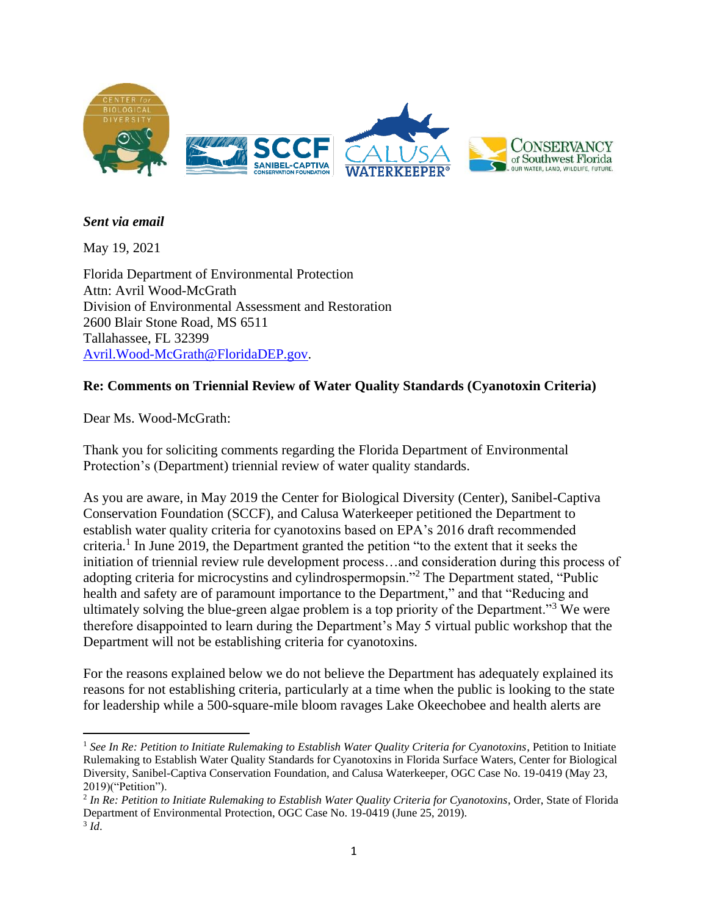

#### *Sent via email*

May 19, 2021

Florida Department of Environmental Protection Attn: Avril Wood-McGrath Division of Environmental Assessment and Restoration 2600 Blair Stone Road, MS 6511 Tallahassee, FL 32399 [Avril.Wood-McGrath@FloridaDEP.gov.](about:blank)

### **Re: Comments on Triennial Review of Water Quality Standards (Cyanotoxin Criteria)**

Dear Ms. Wood-McGrath:

Thank you for soliciting comments regarding the Florida Department of Environmental Protection's (Department) triennial review of water quality standards.

As you are aware, in May 2019 the Center for Biological Diversity (Center), Sanibel-Captiva Conservation Foundation (SCCF), and Calusa Waterkeeper petitioned the Department to establish water quality criteria for cyanotoxins based on EPA's 2016 draft recommended criteria. 1 In June 2019, the Department granted the petition "to the extent that it seeks the initiation of triennial review rule development process…and consideration during this process of adopting criteria for microcystins and cylindrospermopsin."<sup>2</sup> The Department stated, "Public health and safety are of paramount importance to the Department," and that "Reducing and ultimately solving the blue-green algae problem is a top priority of the Department.<sup>33</sup> We were therefore disappointed to learn during the Department's May 5 virtual public workshop that the Department will not be establishing criteria for cyanotoxins.

For the reasons explained below we do not believe the Department has adequately explained its reasons for not establishing criteria, particularly at a time when the public is looking to the state for leadership while a 500-square-mile bloom ravages Lake Okeechobee and health alerts are

<sup>1</sup> *See In Re: Petition to Initiate Rulemaking to Establish Water Quality Criteria for Cyanotoxins*, Petition to Initiate Rulemaking to Establish Water Quality Standards for Cyanotoxins in Florida Surface Waters, Center for Biological Diversity, Sanibel-Captiva Conservation Foundation, and Calusa Waterkeeper, OGC Case No. 19-0419 (May 23, 2019)("Petition").

<sup>2</sup> *In Re: Petition to Initiate Rulemaking to Establish Water Quality Criteria for Cyanotoxins*, Order, State of Florida Department of Environmental Protection, OGC Case No. 19-0419 (June 25, 2019). 3 *Id*.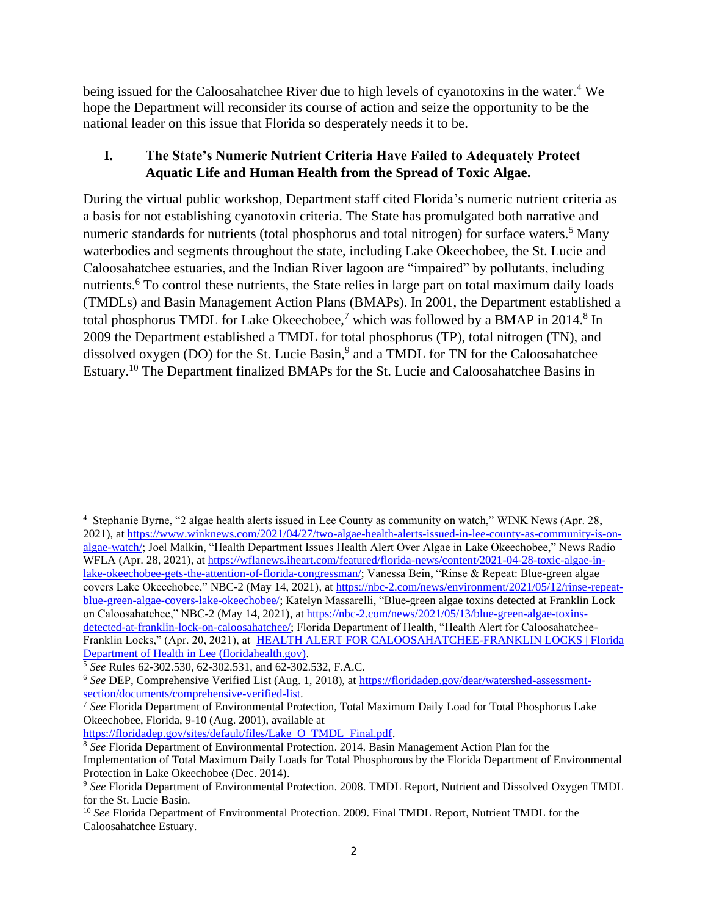being issued for the Caloosahatchee River due to high levels of cyanotoxins in the water.<sup>4</sup> We hope the Department will reconsider its course of action and seize the opportunity to be the national leader on this issue that Florida so desperately needs it to be.

## **I. The State's Numeric Nutrient Criteria Have Failed to Adequately Protect Aquatic Life and Human Health from the Spread of Toxic Algae.**

During the virtual public workshop, Department staff cited Florida's numeric nutrient criteria as a basis for not establishing cyanotoxin criteria. The State has promulgated both narrative and numeric standards for nutrients (total phosphorus and total nitrogen) for surface waters.<sup>5</sup> Many waterbodies and segments throughout the state, including Lake Okeechobee, the St. Lucie and Caloosahatchee estuaries, and the Indian River lagoon are "impaired" by pollutants, including nutrients.<sup>6</sup> To control these nutrients, the State relies in large part on total maximum daily loads (TMDLs) and Basin Management Action Plans (BMAPs). In 2001, the Department established a total phosphorus TMDL for Lake Okeechobee,<sup>7</sup> which was followed by a BMAP in 2014.<sup>8</sup> In 2009 the Department established a TMDL for total phosphorus (TP), total nitrogen (TN), and dissolved oxygen (DO) for the St. Lucie Basin,<sup>9</sup> and a TMDL for TN for the Caloosahatchee Estuary.<sup>10</sup> The Department finalized BMAPs for the St. Lucie and Caloosahatchee Basins in

<sup>4</sup> Stephanie Byrne, "2 algae health alerts issued in Lee County as community on watch," WINK News (Apr. 28, 2021), at [https://www.winknews.com/2021/04/27/two-algae-health-alerts-issued-in-lee-county-as-community-is-on](https://www.winknews.com/2021/04/27/two-algae-health-alerts-issued-in-lee-county-as-community-is-on-algae-watch/)[algae-watch/;](https://www.winknews.com/2021/04/27/two-algae-health-alerts-issued-in-lee-county-as-community-is-on-algae-watch/) Joel Malkin, "Health Department Issues Health Alert Over Algae in Lake Okeechobee," News Radio WFLA (Apr. 28, 2021), at [https://wflanews.iheart.com/featured/florida-news/content/2021-04-28-toxic-algae-in](https://wflanews.iheart.com/featured/florida-news/content/2021-04-28-toxic-algae-in-lake-okeechobee-gets-the-attention-of-florida-congressman/)[lake-okeechobee-gets-the-attention-of-florida-congressman/;](https://wflanews.iheart.com/featured/florida-news/content/2021-04-28-toxic-algae-in-lake-okeechobee-gets-the-attention-of-florida-congressman/) Vanessa Bein, "Rinse & Repeat: Blue-green algae covers Lake Okeechobee," NBC-2 (May 14, 2021), a[t https://nbc-2.com/news/environment/2021/05/12/rinse-repeat](https://nbc-2.com/news/environment/2021/05/12/rinse-repeat-blue-green-algae-covers-lake-okeechobee/)[blue-green-algae-covers-lake-okeechobee/;](https://nbc-2.com/news/environment/2021/05/12/rinse-repeat-blue-green-algae-covers-lake-okeechobee/) Katelyn Massarelli, "Blue-green algae toxins detected at Franklin Lock on Caloosahatchee," NBC-2 (May 14, 2021), at [https://nbc-2.com/news/2021/05/13/blue-green-algae-toxins](https://nbc-2.com/news/2021/05/13/blue-green-algae-toxins-detected-at-franklin-lock-on-caloosahatchee/)[detected-at-franklin-lock-on-caloosahatchee/;](https://nbc-2.com/news/2021/05/13/blue-green-algae-toxins-detected-at-franklin-lock-on-caloosahatchee/) Florida Department of Health, "Health Alert for Caloosahatchee-Franklin Locks," (Apr. 20, 2021), at [HEALTH ALERT FOR CALOOSAHATCHEE-FRANKLIN LOCKS | Florida](http://lee.floridahealth.gov/newsroom/2021/04/2021-04-20-health-alert-franklin-locks.html)  [Department of Health in Lee \(floridahealth.gov\).](http://lee.floridahealth.gov/newsroom/2021/04/2021-04-20-health-alert-franklin-locks.html)

[https://floridadep.gov/sites/default/files/Lake\\_O\\_TMDL\\_Final.pdf.](about:blank)

<sup>5</sup> *See* Rules 62-302.530, 62-302.531, and 62-302.532, F.A.C.

<sup>6</sup> *See* DEP, Comprehensive Verified List (Aug. 1, 2018), a[t https://floridadep.gov/dear/watershed-assessment](about:blank)[section/documents/comprehensive-verified-list.](about:blank)

<sup>&</sup>lt;sup>7</sup> See Florida Department of Environmental Protection, Total Maximum Daily Load for Total Phosphorus Lake Okeechobee, Florida, 9-10 (Aug. 2001), available at

<sup>&</sup>lt;sup>8</sup> See Florida Department of Environmental Protection. 2014. Basin Management Action Plan for the Implementation of Total Maximum Daily Loads for Total Phosphorous by the Florida Department of Environmental Protection in Lake Okeechobee (Dec. 2014).

<sup>9</sup> *See* Florida Department of Environmental Protection. 2008. TMDL Report, Nutrient and Dissolved Oxygen TMDL for the St. Lucie Basin.

<sup>&</sup>lt;sup>10</sup> See Florida Department of Environmental Protection. 2009. Final TMDL Report, Nutrient TMDL for the Caloosahatchee Estuary.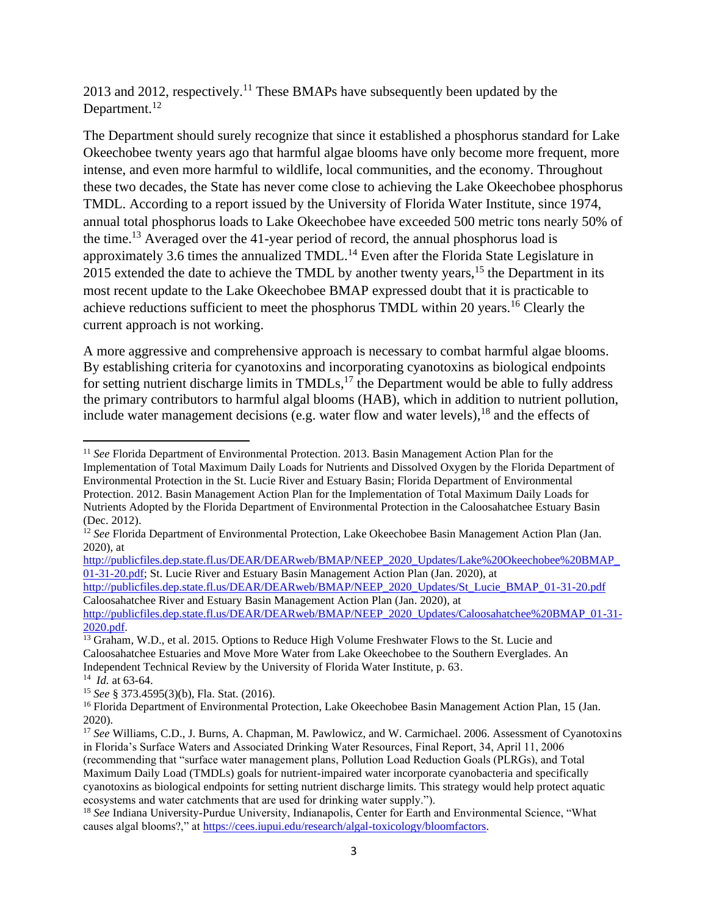2013 and 2012, respectively.<sup>11</sup> These BMAPs have subsequently been updated by the Department.<sup>12</sup>

The Department should surely recognize that since it established a phosphorus standard for Lake Okeechobee twenty years ago that harmful algae blooms have only become more frequent, more intense, and even more harmful to wildlife, local communities, and the economy. Throughout these two decades, the State has never come close to achieving the Lake Okeechobee phosphorus TMDL. According to a report issued by the University of Florida Water Institute, since 1974, annual total phosphorus loads to Lake Okeechobee have exceeded 500 metric tons nearly 50% of the time.<sup>13</sup> Averaged over the 41-year period of record, the annual phosphorus load is approximately 3.6 times the annualized TMDL.<sup>14</sup> Even after the Florida State Legislature in 2015 extended the date to achieve the TMDL by another twenty years,  $15$  the Department in its most recent update to the Lake Okeechobee BMAP expressed doubt that it is practicable to achieve reductions sufficient to meet the phosphorus TMDL within 20 years.<sup>16</sup> Clearly the current approach is not working.

A more aggressive and comprehensive approach is necessary to combat harmful algae blooms. By establishing criteria for cyanotoxins and incorporating cyanotoxins as biological endpoints for setting nutrient discharge limits in TMDLs,<sup>17</sup> the Department would be able to fully address the primary contributors to harmful algal blooms (HAB), which in addition to nutrient pollution, include water management decisions (e.g. water flow and water levels), <sup>18</sup> and the effects of

[http://publicfiles.dep.state.fl.us/DEAR/DEARweb/BMAP/NEEP\\_2020\\_Updates/Lake%20Okeechobee%20BMAP\\_](http://publicfiles.dep.state.fl.us/DEAR/DEARweb/BMAP/NEEP_2020_Updates/Lake%20Okeechobee%20BMAP_01-31-20.pdf) [01-31-20.pdf;](http://publicfiles.dep.state.fl.us/DEAR/DEARweb/BMAP/NEEP_2020_Updates/Lake%20Okeechobee%20BMAP_01-31-20.pdf) St. Lucie River and Estuary Basin Management Action Plan (Jan. 2020), at

<sup>&</sup>lt;sup>11</sup> See Florida Department of Environmental Protection. 2013. Basin Management Action Plan for the Implementation of Total Maximum Daily Loads for Nutrients and Dissolved Oxygen by the Florida Department of Environmental Protection in the St. Lucie River and Estuary Basin; Florida Department of Environmental Protection. 2012. Basin Management Action Plan for the Implementation of Total Maximum Daily Loads for Nutrients Adopted by the Florida Department of Environmental Protection in the Caloosahatchee Estuary Basin (Dec. 2012).

<sup>&</sup>lt;sup>12</sup> See Florida Department of Environmental Protection, Lake Okeechobee Basin Management Action Plan (Jan. 2020), at

[http://publicfiles.dep.state.fl.us/DEAR/DEARweb/BMAP/NEEP\\_2020\\_Updates/St\\_Lucie\\_BMAP\\_01-31-20.pdf](http://publicfiles.dep.state.fl.us/DEAR/DEARweb/BMAP/NEEP_2020_Updates/St_Lucie_BMAP_01-31-20.pdf) Caloosahatchee River and Estuary Basin Management Action Plan (Jan. 2020), at

[http://publicfiles.dep.state.fl.us/DEAR/DEARweb/BMAP/NEEP\\_2020\\_Updates/Caloosahatchee%20BMAP\\_01-31-](http://publicfiles.dep.state.fl.us/DEAR/DEARweb/BMAP/NEEP_2020_Updates/Caloosahatchee%20BMAP_01-31-2020.pdf) [2020.pdf.](http://publicfiles.dep.state.fl.us/DEAR/DEARweb/BMAP/NEEP_2020_Updates/Caloosahatchee%20BMAP_01-31-2020.pdf)

<sup>&</sup>lt;sup>13</sup> Graham, W.D., et al. 2015. Options to Reduce High Volume Freshwater Flows to the St. Lucie and Caloosahatchee Estuaries and Move More Water from Lake Okeechobee to the Southern Everglades. An Independent Technical Review by the University of Florida Water Institute, p. 63.

<sup>14</sup> *Id.* at 63-64.

<sup>15</sup> *See* § 373.4595(3)(b), Fla. Stat. (2016).

<sup>&</sup>lt;sup>16</sup> Florida Department of Environmental Protection, Lake Okeechobee Basin Management Action Plan, 15 (Jan. 2020).

<sup>17</sup> *See* Williams, C.D., J. Burns, A. Chapman, M. Pawlowicz, and W. Carmichael. 2006. Assessment of Cyanotoxins in Florida's Surface Waters and Associated Drinking Water Resources, Final Report, 34, April 11, 2006 (recommending that "surface water management plans, Pollution Load Reduction Goals (PLRGs), and Total Maximum Daily Load (TMDLs) goals for nutrient-impaired water incorporate cyanobacteria and specifically cyanotoxins as biological endpoints for setting nutrient discharge limits. This strategy would help protect aquatic ecosystems and water catchments that are used for drinking water supply.").

<sup>&</sup>lt;sup>18</sup> See Indiana University-Purdue University, Indianapolis, Center for Earth and Environmental Science, "What causes algal blooms?," a[t https://cees.iupui.edu/research/algal-toxicology/bloomfactors.](about:blank)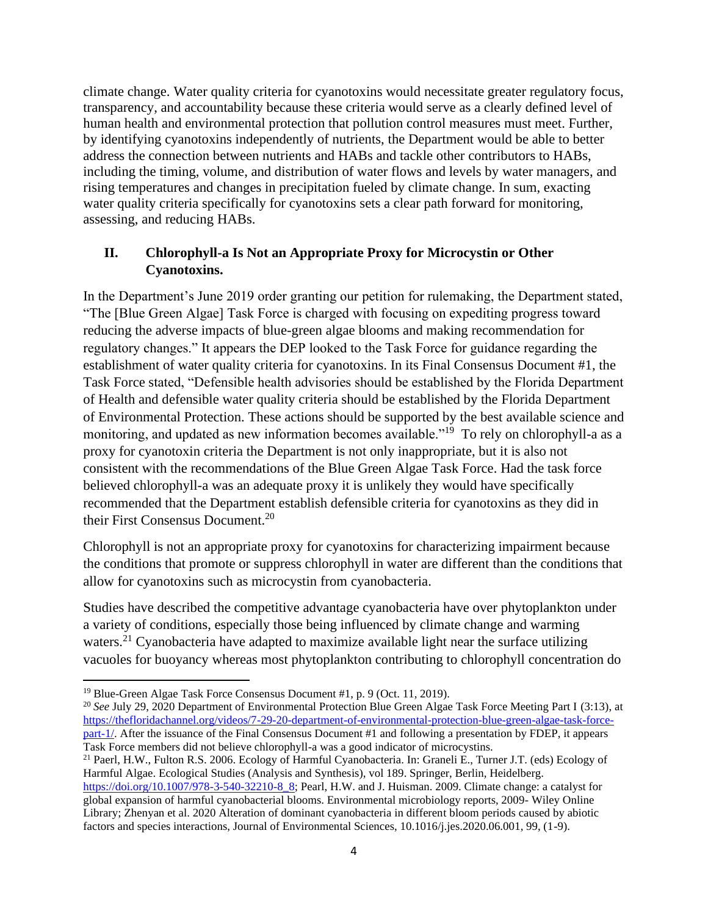climate change. Water quality criteria for cyanotoxins would necessitate greater regulatory focus, transparency, and accountability because these criteria would serve as a clearly defined level of human health and environmental protection that pollution control measures must meet. Further, by identifying cyanotoxins independently of nutrients, the Department would be able to better address the connection between nutrients and HABs and tackle other contributors to HABs, including the timing, volume, and distribution of water flows and levels by water managers, and rising temperatures and changes in precipitation fueled by climate change. In sum, exacting water quality criteria specifically for cyanotoxins sets a clear path forward for monitoring, assessing, and reducing HABs.

## **II. Chlorophyll-a Is Not an Appropriate Proxy for Microcystin or Other Cyanotoxins.**

In the Department's June 2019 order granting our petition for rulemaking, the Department stated, "The [Blue Green Algae] Task Force is charged with focusing on expediting progress toward reducing the adverse impacts of blue-green algae blooms and making recommendation for regulatory changes." It appears the DEP looked to the Task Force for guidance regarding the establishment of water quality criteria for cyanotoxins. In its Final Consensus Document #1, the Task Force stated, "Defensible health advisories should be established by the Florida Department of Health and defensible water quality criteria should be established by the Florida Department of Environmental Protection. These actions should be supported by the best available science and monitoring, and updated as new information becomes available."<sup>19</sup> To rely on chlorophyll-a as a proxy for cyanotoxin criteria the Department is not only inappropriate, but it is also not consistent with the recommendations of the Blue Green Algae Task Force. Had the task force believed chlorophyll-a was an adequate proxy it is unlikely they would have specifically recommended that the Department establish defensible criteria for cyanotoxins as they did in their First Consensus Document.<sup>20</sup>

Chlorophyll is not an appropriate proxy for cyanotoxins for characterizing impairment because the conditions that promote or suppress chlorophyll in water are different than the conditions that allow for cyanotoxins such as microcystin from cyanobacteria.

Studies have described the competitive advantage cyanobacteria have over phytoplankton under a variety of conditions, especially those being influenced by climate change and warming waters.<sup>21</sup> Cyanobacteria have adapted to maximize available light near the surface utilizing vacuoles for buoyancy whereas most phytoplankton contributing to chlorophyll concentration do

<sup>19</sup> Blue-Green Algae Task Force Consensus Document #1, p. 9 (Oct. 11, 2019).

<sup>&</sup>lt;sup>20</sup> See July 29, 2020 Department of Environmental Protection Blue Green Algae Task Force Meeting Part I (3:13), at [https://thefloridachannel.org/videos/7-29-20-department-of-environmental-protection-blue-green-algae-task-force](https://thefloridachannel.org/videos/7-29-20-department-of-environmental-protection-blue-green-algae-task-force-part-1/)[part-1/.](https://thefloridachannel.org/videos/7-29-20-department-of-environmental-protection-blue-green-algae-task-force-part-1/) After the issuance of the Final Consensus Document #1 and following a presentation by FDEP, it appears Task Force members did not believe chlorophyll-a was a good indicator of microcystins.

<sup>21</sup> Paerl, H.W., Fulton R.S. 2006. Ecology of Harmful Cyanobacteria. In: Graneli E., Turner J.T. (eds) Ecology of Harmful Algae. Ecological Studies (Analysis and Synthesis), vol 189. Springer, Berlin, Heidelberg.

[https://doi.org/10.1007/978-3-540-32210-8\\_8;](https://doi.org/10.1007/978-3-540-32210-8_8) Pearl, H.W. and J. Huisman. 2009. Climate change: a catalyst for global expansion of harmful cyanobacterial blooms. Environmental microbiology reports, 2009- Wiley Online Library; Zhenyan et al. 2020 Alteration of dominant cyanobacteria in different bloom periods caused by abiotic factors and species interactions, Journal of Environmental Sciences, 10.1016/j.jes.2020.06.001, 99, (1-9).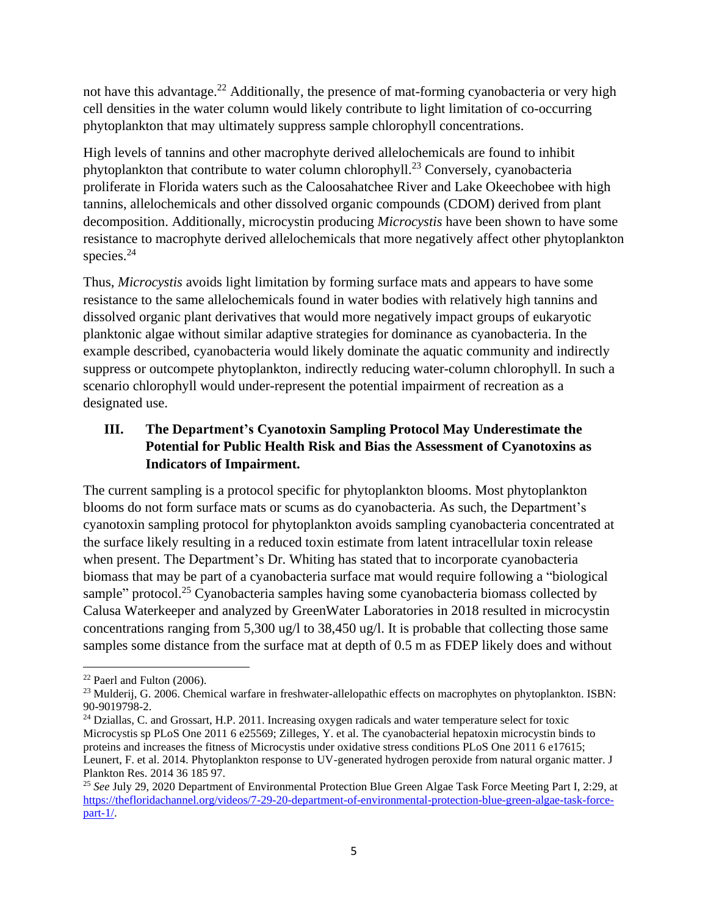not have this advantage.<sup>22</sup> Additionally, the presence of mat-forming cyanobacteria or very high cell densities in the water column would likely contribute to light limitation of co-occurring phytoplankton that may ultimately suppress sample chlorophyll concentrations.

High levels of tannins and other macrophyte derived allelochemicals are found to inhibit phytoplankton that contribute to water column chlorophyll.<sup>23</sup> Conversely, cyanobacteria proliferate in Florida waters such as the Caloosahatchee River and Lake Okeechobee with high tannins, allelochemicals and other dissolved organic compounds (CDOM) derived from plant decomposition. Additionally, microcystin producing *Microcystis* have been shown to have some resistance to macrophyte derived allelochemicals that more negatively affect other phytoplankton species. 24

Thus, *Microcystis* avoids light limitation by forming surface mats and appears to have some resistance to the same allelochemicals found in water bodies with relatively high tannins and dissolved organic plant derivatives that would more negatively impact groups of eukaryotic planktonic algae without similar adaptive strategies for dominance as cyanobacteria. In the example described, cyanobacteria would likely dominate the aquatic community and indirectly suppress or outcompete phytoplankton, indirectly reducing water-column chlorophyll. In such a scenario chlorophyll would under-represent the potential impairment of recreation as a designated use.

# **III. The Department's Cyanotoxin Sampling Protocol May Underestimate the Potential for Public Health Risk and Bias the Assessment of Cyanotoxins as Indicators of Impairment.**

The current sampling is a protocol specific for phytoplankton blooms. Most phytoplankton blooms do not form surface mats or scums as do cyanobacteria. As such, the Department's cyanotoxin sampling protocol for phytoplankton avoids sampling cyanobacteria concentrated at the surface likely resulting in a reduced toxin estimate from latent intracellular toxin release when present. The Department's Dr. Whiting has stated that to incorporate cyanobacteria biomass that may be part of a cyanobacteria surface mat would require following a "biological sample" protocol.<sup>25</sup> Cyanobacteria samples having some cyanobacteria biomass collected by Calusa Waterkeeper and analyzed by GreenWater Laboratories in 2018 resulted in microcystin concentrations ranging from 5,300 ug/l to 38,450 ug/l. It is probable that collecting those same samples some distance from the surface mat at depth of 0.5 m as FDEP likely does and without

<sup>22</sup> Paerl and Fulton (2006).

<sup>&</sup>lt;sup>23</sup> Mulderij, G. 2006. Chemical warfare in freshwater-allelopathic effects on macrophytes on phytoplankton. ISBN: 90-9019798-2.

<sup>&</sup>lt;sup>24</sup> Dziallas, C. and Grossart, H.P. 2011. Increasing oxygen radicals and water temperature select for toxic Microcystis sp PLoS One 2011 6 e25569; Zilleges, Y. et al. The cyanobacterial hepatoxin microcystin binds to proteins and increases the fitness of Microcystis under oxidative stress conditions PLoS One 2011 6 e17615; Leunert, F. et al. 2014. Phytoplankton response to UV-generated hydrogen peroxide from natural organic matter. J Plankton Res. 2014 36 185 97.

<sup>25</sup> *See* July 29, 2020 Department of Environmental Protection Blue Green Algae Task Force Meeting Part I, 2:29, at [https://thefloridachannel.org/videos/7-29-20-department-of-environmental-protection-blue-green-algae-task-force](https://thefloridachannel.org/videos/7-29-20-department-of-environmental-protection-blue-green-algae-task-force-part-1/)[part-1/.](https://thefloridachannel.org/videos/7-29-20-department-of-environmental-protection-blue-green-algae-task-force-part-1/)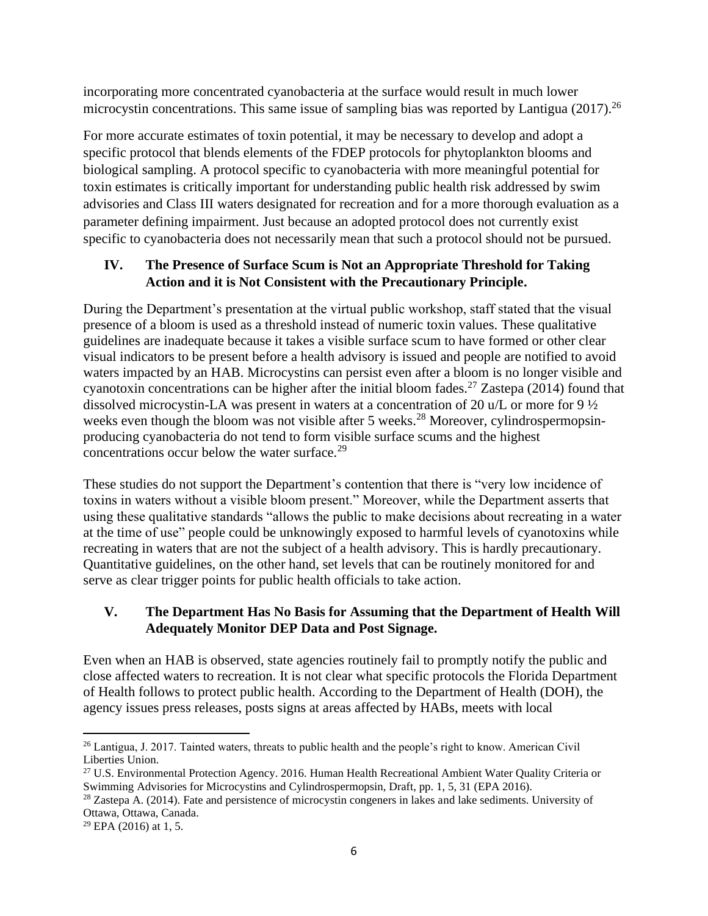incorporating more concentrated cyanobacteria at the surface would result in much lower microcystin concentrations. This same issue of sampling bias was reported by Lantigua  $(2017)$ <sup>26</sup>

For more accurate estimates of toxin potential, it may be necessary to develop and adopt a specific protocol that blends elements of the FDEP protocols for phytoplankton blooms and biological sampling. A protocol specific to cyanobacteria with more meaningful potential for toxin estimates is critically important for understanding public health risk addressed by swim advisories and Class III waters designated for recreation and for a more thorough evaluation as a parameter defining impairment. Just because an adopted protocol does not currently exist specific to cyanobacteria does not necessarily mean that such a protocol should not be pursued.

# **IV. The Presence of Surface Scum is Not an Appropriate Threshold for Taking Action and it is Not Consistent with the Precautionary Principle.**

During the Department's presentation at the virtual public workshop, staff stated that the visual presence of a bloom is used as a threshold instead of numeric toxin values. These qualitative guidelines are inadequate because it takes a visible surface scum to have formed or other clear visual indicators to be present before a health advisory is issued and people are notified to avoid waters impacted by an HAB. Microcystins can persist even after a bloom is no longer visible and cyanotoxin concentrations can be higher after the initial bloom fades.<sup>27</sup> Zastepa (2014) found that dissolved microcystin-LA was present in waters at a concentration of 20 u/L or more for 9 ½ weeks even though the bloom was not visible after 5 weeks.<sup>28</sup> Moreover, cylindrospermopsinproducing cyanobacteria do not tend to form visible surface scums and the highest concentrations occur below the water surface.<sup>29</sup>

These studies do not support the Department's contention that there is "very low incidence of toxins in waters without a visible bloom present." Moreover, while the Department asserts that using these qualitative standards "allows the public to make decisions about recreating in a water at the time of use" people could be unknowingly exposed to harmful levels of cyanotoxins while recreating in waters that are not the subject of a health advisory. This is hardly precautionary. Quantitative guidelines, on the other hand, set levels that can be routinely monitored for and serve as clear trigger points for public health officials to take action.

### **V. The Department Has No Basis for Assuming that the Department of Health Will Adequately Monitor DEP Data and Post Signage.**

Even when an HAB is observed, state agencies routinely fail to promptly notify the public and close affected waters to recreation. It is not clear what specific protocols the Florida Department of Health follows to protect public health. According to the Department of Health (DOH), the agency issues press releases, posts signs at areas affected by HABs, meets with local

<sup>&</sup>lt;sup>26</sup> Lantigua, J. 2017. Tainted waters, threats to public health and the people's right to know. American Civil Liberties Union.

<sup>&</sup>lt;sup>27</sup> U.S. Environmental Protection Agency, 2016. Human Health Recreational Ambient Water Ouality Criteria or Swimming Advisories for Microcystins and Cylindrospermopsin, Draft, pp. 1, 5, 31 (EPA 2016).

<sup>&</sup>lt;sup>28</sup> Zastepa A. (2014). Fate and persistence of microcystin congeners in lakes and lake sediments. University of Ottawa, Ottawa, Canada.

 $29$  EPA (2016) at 1, 5.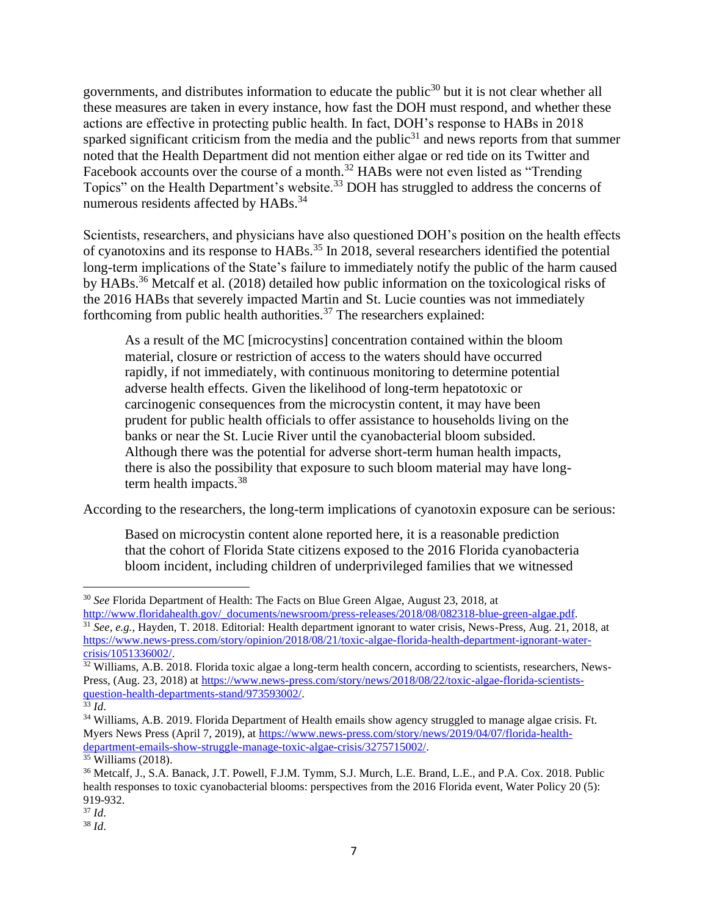governments, and distributes information to educate the public<sup>30</sup> but it is not clear whether all these measures are taken in every instance, how fast the DOH must respond, and whether these actions are effective in protecting public health. In fact, DOH's response to HABs in 2018 sparked significant criticism from the media and the public<sup>31</sup> and news reports from that summer noted that the Health Department did not mention either algae or red tide on its Twitter and Facebook accounts over the course of a month.<sup>32</sup> HABs were not even listed as "Trending" Topics" on the Health Department's website.<sup>33</sup> DOH has struggled to address the concerns of numerous residents affected by HABs.<sup>34</sup>

Scientists, researchers, and physicians have also questioned DOH's position on the health effects of cyanotoxins and its response to HABs.<sup>35</sup> In 2018, several researchers identified the potential long-term implications of the State's failure to immediately notify the public of the harm caused by HABs.<sup>36</sup> Metcalf et al. (2018) detailed how public information on the toxicological risks of the 2016 HABs that severely impacted Martin and St. Lucie counties was not immediately forthcoming from public health authorities.<sup>37</sup> The researchers explained:

As a result of the MC [microcystins] concentration contained within the bloom material, closure or restriction of access to the waters should have occurred rapidly, if not immediately, with continuous monitoring to determine potential adverse health effects. Given the likelihood of long-term hepatotoxic or carcinogenic consequences from the microcystin content, it may have been prudent for public health officials to offer assistance to households living on the banks or near the St. Lucie River until the cyanobacterial bloom subsided. Although there was the potential for adverse short-term human health impacts, there is also the possibility that exposure to such bloom material may have longterm health impacts.<sup>38</sup>

According to the researchers, the long-term implications of cyanotoxin exposure can be serious:

Based on microcystin content alone reported here, it is a reasonable prediction that the cohort of Florida State citizens exposed to the 2016 Florida cyanobacteria bloom incident, including children of underprivileged families that we witnessed

<sup>30</sup> *See* Florida Department of Health: The Facts on Blue Green Algae, August 23, 2018, at [http://www.floridahealth.gov/\\_documents/newsroom/press-releases/2018/08/082318-blue-green-algae.pdf.](about:blank)

<sup>31</sup> *See, e.g.,* Hayden, T. 2018. Editorial: Health department ignorant to water crisis, News-Press, Aug. 21, 2018, at [https://www.news-press.com/story/opinion/2018/08/21/toxic-algae-florida-health-department-ignorant-water](about:blank)[crisis/1051336002/.](about:blank)

<sup>&</sup>lt;sup>32</sup> Williams, A.B. 2018. Florida toxic algae a long-term health concern, according to scientists, researchers, News-Press, (Aug. 23, 2018) at [https://www.news-press.com/story/news/2018/08/22/toxic-algae-florida-scientists](about:blank)[question-health-departments-stand/973593002/.](about:blank)

 $33 \, Id.$ 

<sup>&</sup>lt;sup>34</sup> Williams, A.B. 2019. Florida Department of Health emails show agency struggled to manage algae crisis. Ft. Myers News Press (April 7, 2019), at [https://www.news-press.com/story/news/2019/04/07/florida-health](about:blank)[department-emails-show-struggle-manage-toxic-algae-crisis/3275715002/.](about:blank)

 $35$  Williams (2018).

<sup>36</sup> Metcalf, J., S.A. Banack, J.T. Powell, F.J.M. Tymm, S.J. Murch, L.E. Brand, L.E., and P.A. Cox. 2018. Public health responses to toxic cyanobacterial blooms: perspectives from the 2016 Florida event, Water Policy 20 (5): 919-932.

<sup>37</sup> *Id*.

<sup>38</sup> *Id*.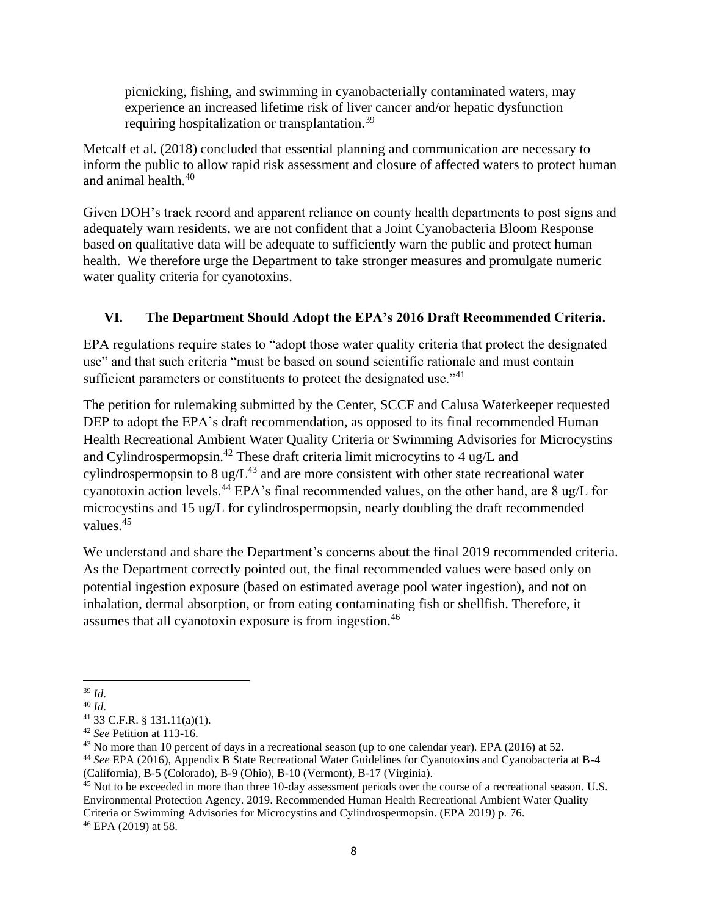picnicking, fishing, and swimming in cyanobacterially contaminated waters, may experience an increased lifetime risk of liver cancer and/or hepatic dysfunction requiring hospitalization or transplantation.<sup>39</sup>

Metcalf et al. (2018) concluded that essential planning and communication are necessary to inform the public to allow rapid risk assessment and closure of affected waters to protect human and animal health.<sup>40</sup>

Given DOH's track record and apparent reliance on county health departments to post signs and adequately warn residents, we are not confident that a Joint Cyanobacteria Bloom Response based on qualitative data will be adequate to sufficiently warn the public and protect human health. We therefore urge the Department to take stronger measures and promulgate numeric water quality criteria for cyanotoxins.

# **VI. The Department Should Adopt the EPA's 2016 Draft Recommended Criteria.**

EPA regulations require states to "adopt those water quality criteria that protect the designated use" and that such criteria "must be based on sound scientific rationale and must contain sufficient parameters or constituents to protect the designated use."<sup>41</sup>

The petition for rulemaking submitted by the Center, SCCF and Calusa Waterkeeper requested DEP to adopt the EPA's draft recommendation, as opposed to its final recommended Human Health Recreational Ambient Water Quality Criteria or Swimming Advisories for Microcystins and Cylindrospermopsin.<sup>42</sup> These draft criteria limit microcytins to 4 ug/L and cylindrospermopsin to 8 ug/ $L^{43}$  and are more consistent with other state recreational water cyanotoxin action levels.<sup>44</sup> EPA's final recommended values, on the other hand, are 8 ug/L for microcystins and 15 ug/L for cylindrospermopsin, nearly doubling the draft recommended values.<sup>45</sup>

We understand and share the Department's concerns about the final 2019 recommended criteria. As the Department correctly pointed out, the final recommended values were based only on potential ingestion exposure (based on estimated average pool water ingestion), and not on inhalation, dermal absorption, or from eating contaminating fish or shellfish. Therefore, it assumes that all cyanotoxin exposure is from ingestion.<sup>46</sup>

<sup>39</sup> *Id*.

<sup>40</sup> *Id*.

<sup>41</sup> 33 C.F.R. § 131.11(a)(1).

<sup>42</sup> *See* Petition at 113-16.

<sup>&</sup>lt;sup>43</sup> No more than 10 percent of days in a recreational season (up to one calendar year). EPA (2016) at 52.

<sup>44</sup> *See* EPA (2016), Appendix B State Recreational Water Guidelines for Cyanotoxins and Cyanobacteria at B-4 (California), B-5 (Colorado), B-9 (Ohio), B-10 (Vermont), B-17 (Virginia).

<sup>&</sup>lt;sup>45</sup> Not to be exceeded in more than three 10-day assessment periods over the course of a recreational season. U.S. Environmental Protection Agency. 2019. Recommended Human Health Recreational Ambient Water Quality Criteria or Swimming Advisories for Microcystins and Cylindrospermopsin. (EPA 2019) p. 76. <sup>46</sup> EPA (2019) at 58.